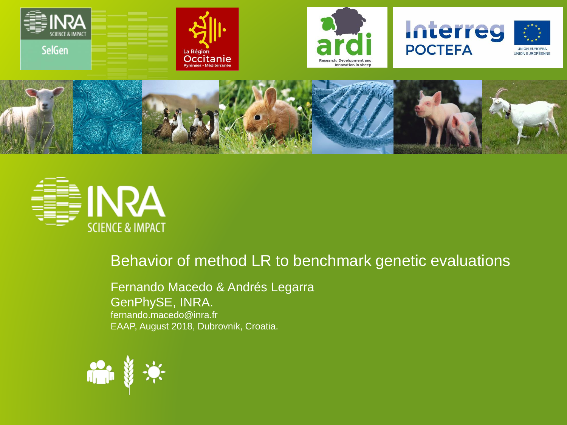













#### Behavior of method LR to benchmark genetic evaluations

Fernando Macedo & Andrés Legarra GenPhySE, INRA. fernando.macedo@inra.fr EAAP, August 2018, Dubrovnik, Croatia.

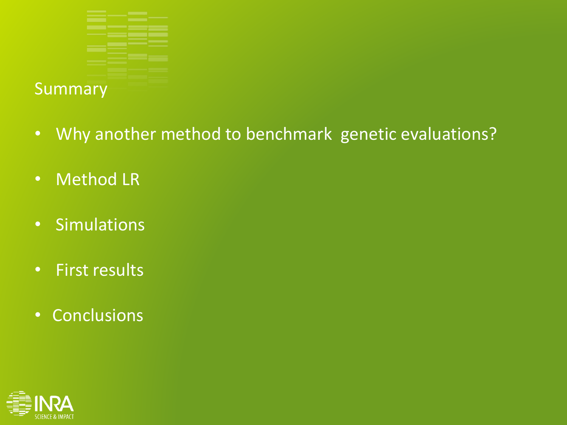

- Why another method to benchmark genetic evaluations?
- Method LR
- Simulations
- First results
- Conclusions

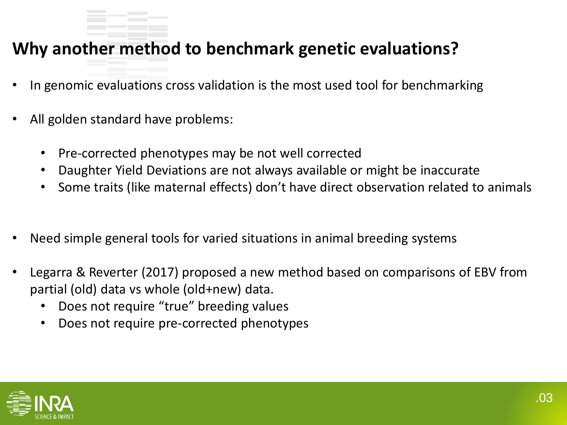### **Why another method to benchmark genetic evaluations?**

- In genomic evaluations cross validation is the most used tool for benchmarking
- All golden standard have problems:
	- Pre-corrected phenotypes may be not well corrected
	- Daughter Yield Deviations are not always available or might be inaccurate
	- Some traits (like maternal effects) don't have direct observation related to animals
- Need simple general tools for varied situations in animal breeding systems
- Legarra & Reverter (2017) proposed a new method based on comparisons of EBV from partial (old) data vs whole (old+new) data.
	- Does not require "true" breeding values
	- Does not require pre-corrected phenotypes

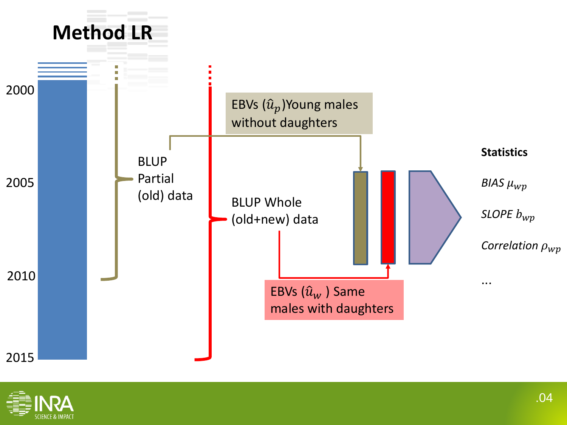

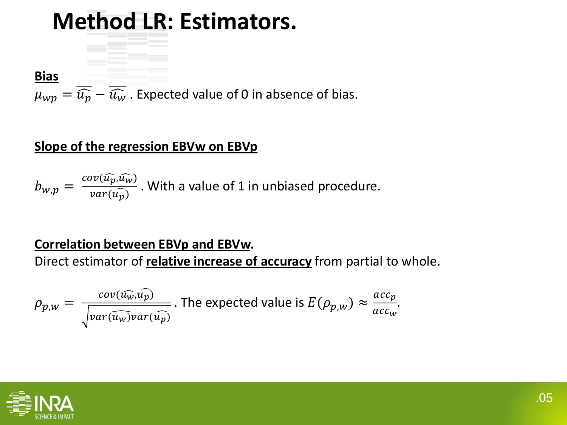# **Method LR: Estimators.**

**Bias**

 $\mu_{wp} = \overline{\widehat{u_p}} - \overline{\widehat{u_w}}$ . Expected value of 0 in absence of bias.

#### **Slope of the regression EBVw on EBVp**

$$
b_{w,p} = \frac{cov(\widehat{u_p}, \widehat{u_w})}{var(\widehat{u_p})}
$$
. With a value of 1 in unbiased procedure.

#### **Correlation between EBVp and EBVw.**

Direct estimator of **relative increase of accuracy** from partial to whole.

$$
\rho_{p,w} = \frac{cov(\widehat{u_w}, \widehat{u_p})}{\sqrt{var(\widehat{u_w})var(\widehat{u_p})}}.
$$
 The expected value is  $E(\rho_{p,w}) \approx \frac{acc_p}{acc_w}.$ 

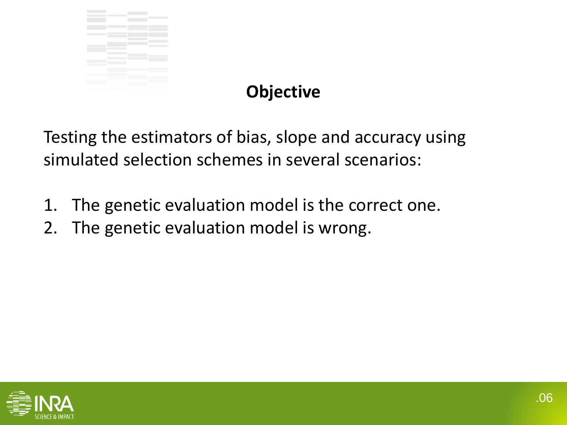

## **Objective**

Testing the estimators of bias, slope and accuracy using simulated selection schemes in several scenarios:

- 1. The genetic evaluation model is the correct one.
- 2. The genetic evaluation model is wrong.

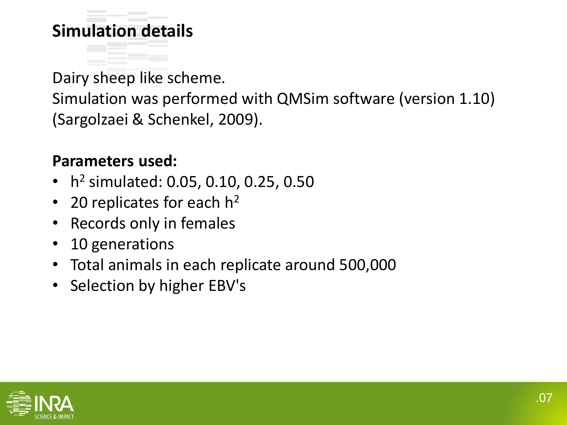### **Simulation details**

Dairy sheep like scheme. Simulation was performed with QMSim software (version 1.10) (Sargolzaei & Schenkel, 2009).

#### **Parameters used:**

- h 2 simulated: 0.05, 0.10, 0.25, 0.50
- 20 replicates for each  $h^2$
- Records only in females
- 10 generations
- Total animals in each replicate around 500,000
- Selection by higher EBV's

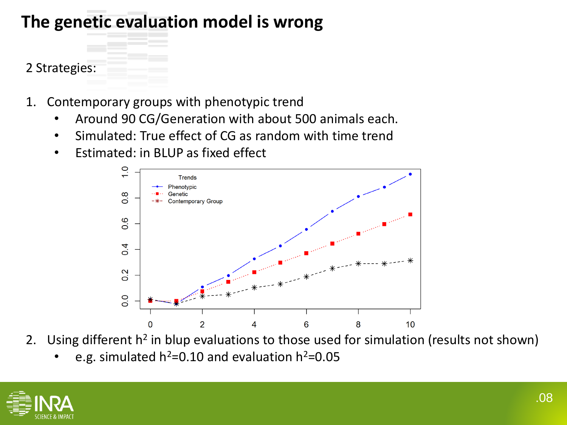### **The genetic evaluation model is wrong**

#### 2 Strategies:

- 1. Contemporary groups with phenotypic trend
	- Around 90 CG/Generation with about 500 animals each.
	- Simulated: True effect of CG as random with time trend
	- Estimated: in BLUP as fixed effect



- 2. Using different h<sup>2</sup> in blup evaluations to those used for simulation (results not shown)
	- e.g. simulated  $h^2$ =0.10 and evaluation  $h^2$ =0.05

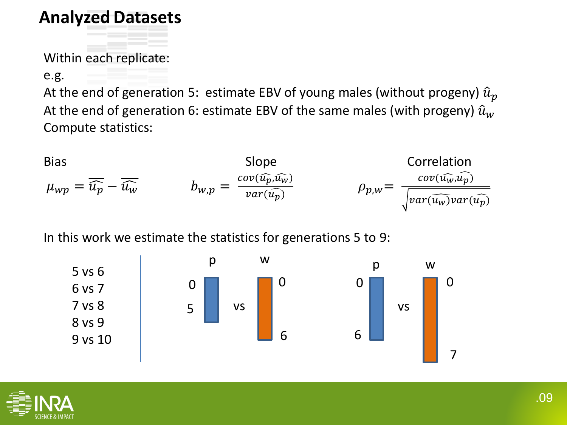### **Analyzed Datasets**

Within each replicate:

e.g.

At the end of generation 5: estimate EBV of young males (without progeny)  $\hat{u}_p$ At the end of generation 6: estimate EBV of the same males (with progeny)  $\hat{u}_w$ Compute statistics:

Bias  
\n
$$
\mu_{wp} = \overline{\hat{u}_p} - \overline{\hat{u}_w}
$$
\n
$$
b_{w,p} = \frac{cov(\widehat{u_p}, \widehat{u_w})}{var(\widehat{u_p})}
$$
\n
$$
\rho_{p,w} = \frac{cov(\widehat{u_w}, \widehat{u_p})}{\sqrt{var(\widehat{u_w})var(\widehat{u_p})}}
$$

In this work we estimate the statistics for generations 5 to 9:



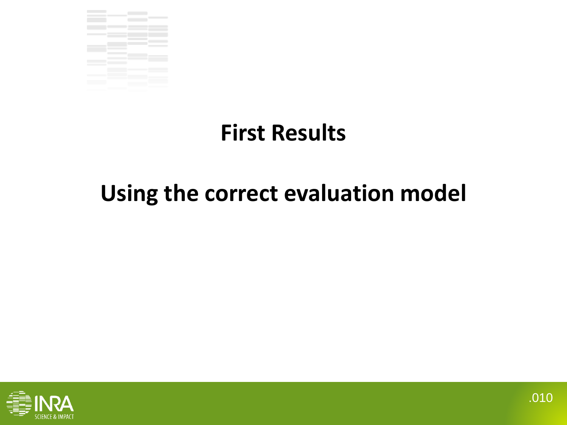

# **First Results**

## **Using the correct evaluation model**

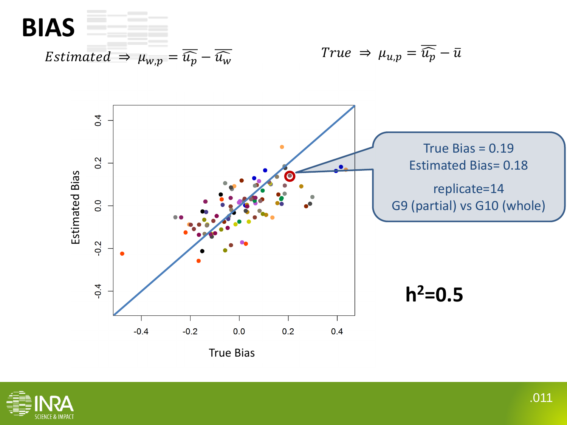

*Estimated*  $\Rightarrow \mu_{w,p} = \overline{\widehat{u_p}} - \overline{\widehat{u_w}}$ 

$$
True \Rightarrow \mu_{u,p} = \overline{\widehat{u_p}} - \overline{u}
$$



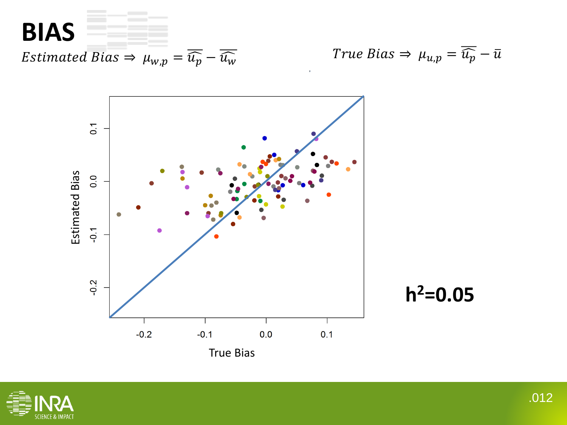

True Bias  $\Rightarrow \mu_{u,p} = \overline{\widehat{u_p}} - \overline{u}$ 





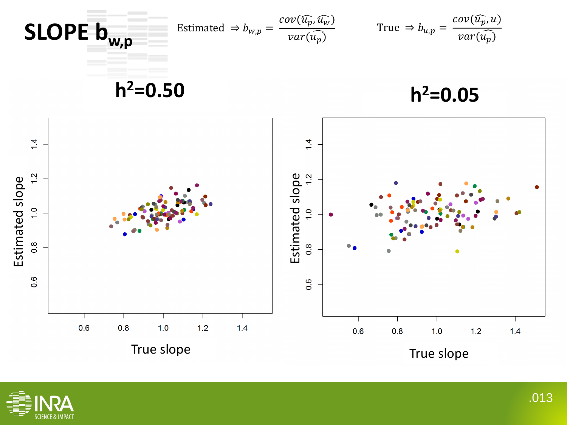

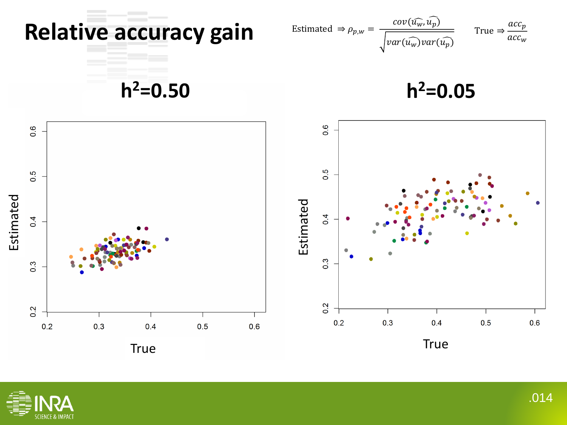

Estimated 
$$
\Rightarrow \rho_{p,w} = \frac{cov(\widehat{u_w}, \widehat{u_p})}{\sqrt{var(\widehat{u_w})var(\widehat{u_p})}}
$$
 True  $\Rightarrow \frac{acc_p}{acc_w}$ 

**h <sup>2</sup>=0.50**

**h 2=0.05**



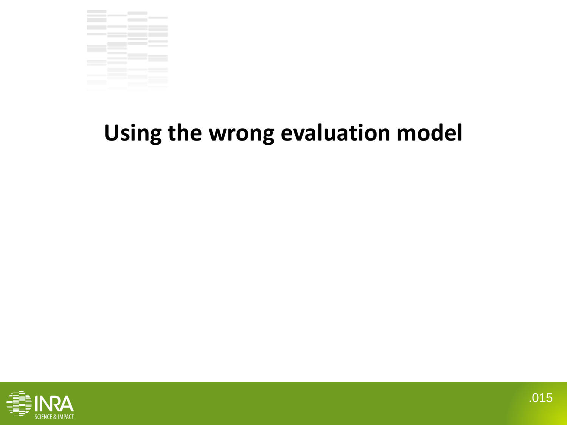

# **Using the wrong evaluation model**

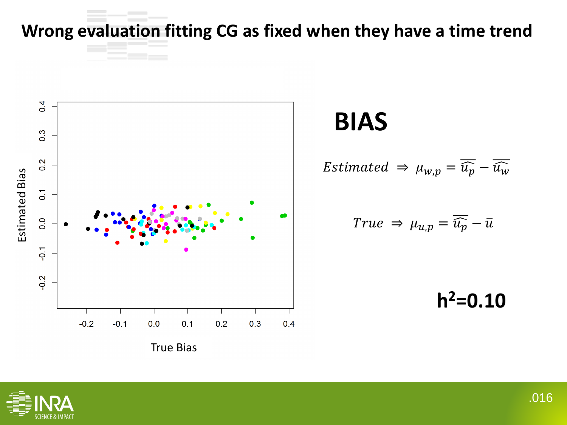**Wrong evaluation fitting CG as fixed when they have a time trend** 



## **BIAS**

$$
Estimated \Rightarrow \mu_{w,p} = \overline{\widehat{u_p}} - \overline{\widehat{u_w}}
$$

$$
True \Rightarrow \mu_{u,p} = \overline{\widehat{u_p}} - \overline{u}
$$

**h 2=0.10**

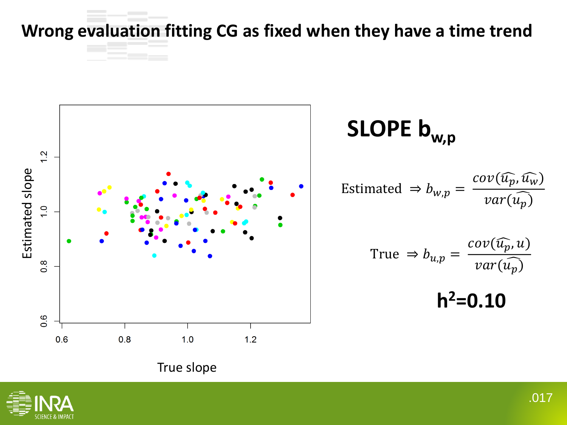**Wrong evaluation fitting CG as fixed when they have a time trend** 



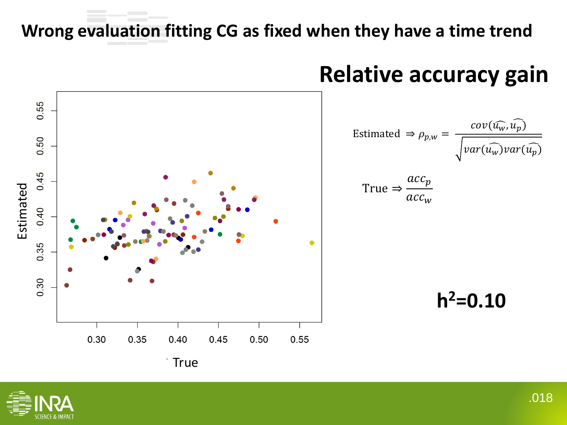### **Wrong evaluation fitting CG as fixed when they have a time trend**



## **Relative accuracy gain**

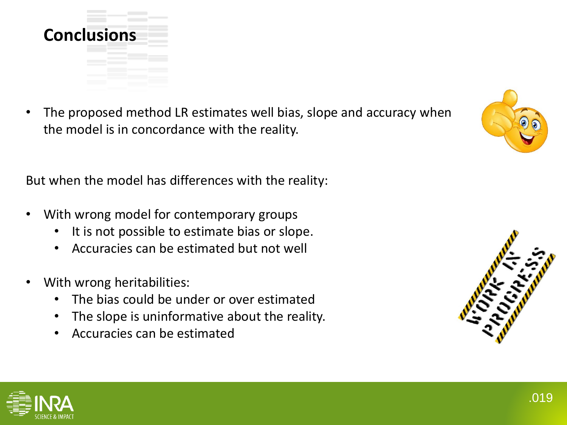

The proposed method LR estimates well bias, slope and accuracy when the model is in concordance with the reality.

But when the model has differences with the reality:

- With wrong model for contemporary groups
	- It is not possible to estimate bias or slope.
	- Accuracies can be estimated but not well
- With wrong heritabilities:
	- The bias could be under or over estimated
	- The slope is uninformative about the reality.
	- Accuracies can be estimated





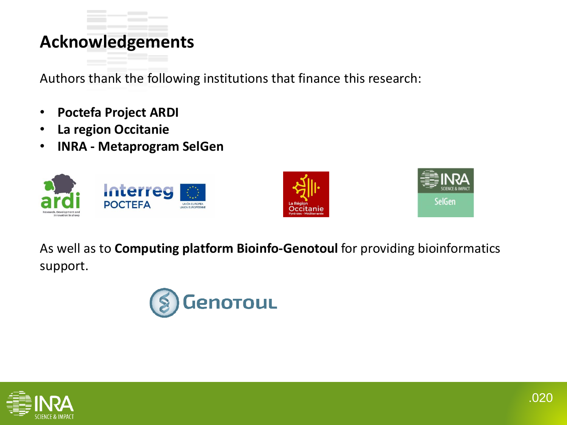### **Acknowledgements**

Authors thank the following institutions that finance this research:

- **Poctefa Project ARDI**
- **La region Occitanie**
- **INRA - Metaprogram SelGen**







As well as to **Computing platform Bioinfo-Genotoul** for providing bioinformatics support.



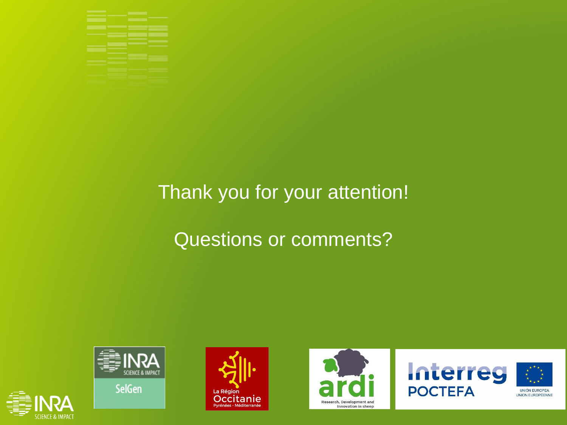

## Thank you for your attention!

## Questions or comments?



**SelGen** 

SCIENCE & IMPACT









**UNIÓN EUROPEA** UNION EUROPÉENNE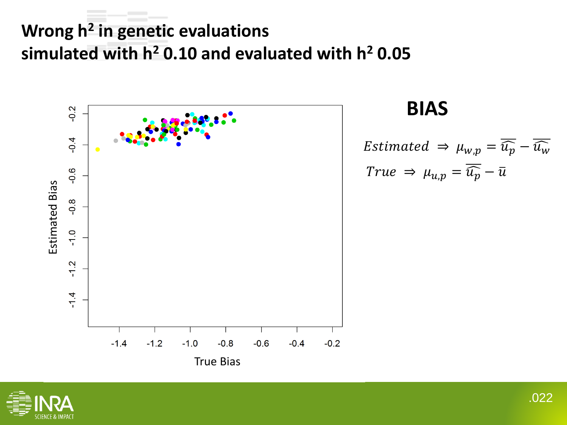## **Wrong h 2 in genetic evaluations simulated with h<sup>2</sup> 0.10 and evaluated with h<sup>2</sup> 0.05**



### **BIAS**

$$
Estimated \Rightarrow \mu_{w,p} = \overline{\widehat{u_p}} - \overline{\widehat{u_w}}
$$

$$
True \Rightarrow \mu_{u,p} = \overline{\widehat{u_p}} - \overline{\widehat{u}}
$$

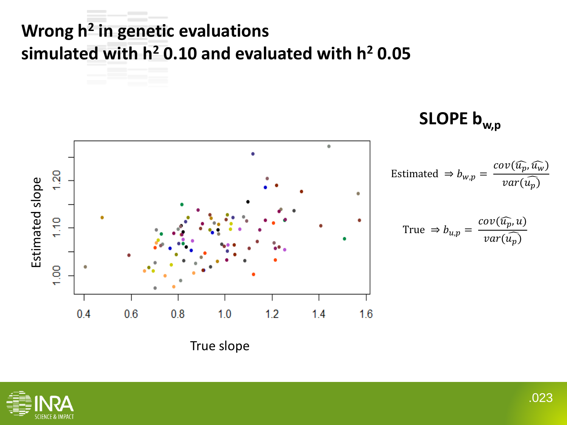## **Wrong h 2 in genetic evaluations simulated with h<sup>2</sup> 0.10 and evaluated with h<sup>2</sup> 0.05**